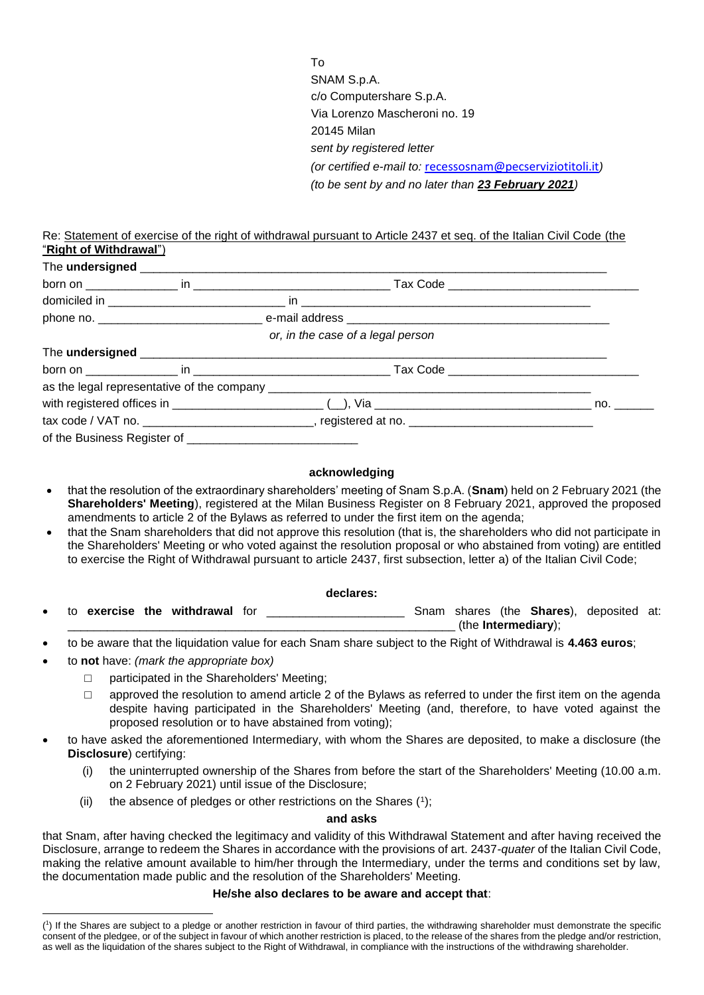To SNAM S.p.A. c/o Computershare S.p.A. Via Lorenzo Mascheroni no. 19 20145 Milan *sent by registered letter (or certified e-mail to:* [recessosnam@pecserviziotitoli.it](mailto:recessosnam@pecserviziotitoli.it)*) (to be sent by and no later than 23 February 2021)*

Re: Statement of exercise of the right of withdrawal pursuant to Article 2437 et seq. of the Italian Civil Code (the "**Right of Withdrawal**")

|  |  | or, in the case of a legal person                                                                                                                                                                                                    |  |
|--|--|--------------------------------------------------------------------------------------------------------------------------------------------------------------------------------------------------------------------------------------|--|
|  |  | The undersigned <b>contract to the example of the contract of the example of the understanding of the contract of the contract of the contract of the contract of the contract of the contract of the contract of the contract o</b> |  |
|  |  |                                                                                                                                                                                                                                      |  |
|  |  |                                                                                                                                                                                                                                      |  |
|  |  |                                                                                                                                                                                                                                      |  |
|  |  | tax code / VAT no. __________________________________, registered at no. ___________________________                                                                                                                                 |  |
|  |  |                                                                                                                                                                                                                                      |  |

## **acknowledging**

- that the resolution of the extraordinary shareholders' meeting of Snam S.p.A. (**Snam**) held on 2 February 2021 (the **Shareholders' Meeting**), registered at the Milan Business Register on 8 February 2021, approved the proposed amendments to article 2 of the Bylaws as referred to under the first item on the agenda;
- that the Snam shareholders that did not approve this resolution (that is, the shareholders who did not participate in the Shareholders' Meeting or who voted against the resolution proposal or who abstained from voting) are entitled to exercise the Right of Withdrawal pursuant to article 2437, first subsection, letter a) of the Italian Civil Code;

## **declares:**

- to **exercise the withdrawal** for \_\_\_\_\_\_\_\_\_\_\_\_\_\_\_\_\_\_\_\_\_ Snam shares (the **Shares**), deposited at: \_\_\_\_\_\_\_\_\_\_\_\_\_\_\_\_\_\_\_\_\_\_\_\_\_\_\_\_\_\_\_\_\_\_\_\_\_\_\_\_\_\_\_\_\_\_\_\_\_\_\_\_\_\_\_\_\_\_\_ (the **Intermediary**);
- to be aware that the liquidation value for each Snam share subject to the Right of Withdrawal is **4.463 euros**;
- to **not** have: *(mark the appropriate box)*
	- □ participated in the Shareholders' Meeting;
	- $\Box$  approved the resolution to amend article 2 of the Bylaws as referred to under the first item on the agenda despite having participated in the Shareholders' Meeting (and, therefore, to have voted against the proposed resolution or to have abstained from voting);
- to have asked the aforementioned Intermediary, with whom the Shares are deposited, to make a disclosure (the **Disclosure**) certifying:
	- (i) the uninterrupted ownership of the Shares from before the start of the Shareholders' Meeting (10.00 a.m. on 2 February 2021) until issue of the Disclosure;
	- (ii) the absence of pledges or other restrictions on the Shares  $(1)$ ;

## **and asks**

that Snam, after having checked the legitimacy and validity of this Withdrawal Statement and after having received the Disclosure, arrange to redeem the Shares in accordance with the provisions of art. 2437-*quater* of the Italian Civil Code, making the relative amount available to him/her through the Intermediary, under the terms and conditions set by law, the documentation made public and the resolution of the Shareholders' Meeting.

## **He/she also declares to be aware and accept that**:

<sup>1</sup> ( 1 ) If the Shares are subject to a pledge or another restriction in favour of third parties, the withdrawing shareholder must demonstrate the specific consent of the pledgee, or of the subject in favour of which another restriction is placed, to the release of the shares from the pledge and/or restriction, as well as the liquidation of the shares subject to the Right of Withdrawal, in compliance with the instructions of the withdrawing shareholder.